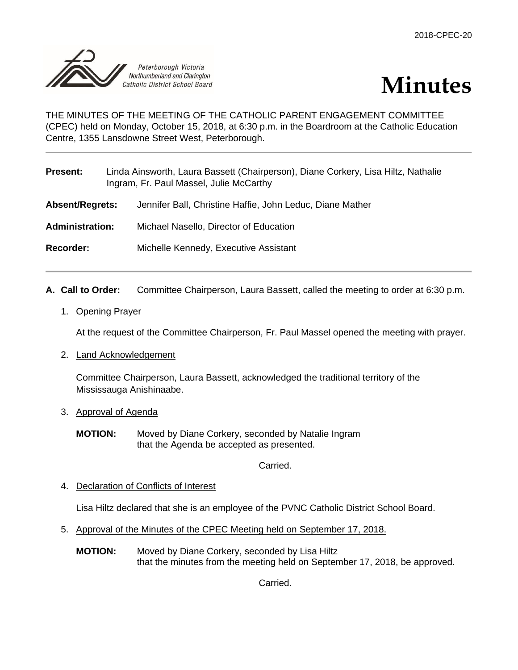



THE MINUTES OF THE MEETING OF THE CATHOLIC PARENT ENGAGEMENT COMMITTEE (CPEC) held on Monday, October 15, 2018, at 6:30 p.m. in the Boardroom at the Catholic Education Centre, 1355 Lansdowne Street West, Peterborough.

| <b>Present:</b>        | Linda Ainsworth, Laura Bassett (Chairperson), Diane Corkery, Lisa Hiltz, Nathalie<br>Ingram, Fr. Paul Massel, Julie McCarthy |
|------------------------|------------------------------------------------------------------------------------------------------------------------------|
| <b>Absent/Regrets:</b> | Jennifer Ball, Christine Haffie, John Leduc, Diane Mather                                                                    |
| <b>Administration:</b> | Michael Nasello, Director of Education                                                                                       |
| <b>Recorder:</b>       | Michelle Kennedy, Executive Assistant                                                                                        |

- **A. Call to Order:** Committee Chairperson, Laura Bassett, called the meeting to order at 6:30 p.m.
	- 1. Opening Prayer

At the request of the Committee Chairperson, Fr. Paul Massel opened the meeting with prayer.

2. Land Acknowledgement

Committee Chairperson, Laura Bassett, acknowledged the traditional territory of the Mississauga Anishinaabe.

- 3. Approval of Agenda
	- **MOTION:** Moved by Diane Corkery, seconded by Natalie Ingram that the Agenda be accepted as presented.

Carried.

4. Declaration of Conflicts of Interest

Lisa Hiltz declared that she is an employee of the PVNC Catholic District School Board.

- 5. Approval of the Minutes of the CPEC Meeting held on September 17, 2018.
	- **MOTION:** Moved by Diane Corkery, seconded by Lisa Hiltz that the minutes from the meeting held on September 17, 2018, be approved.

Carried.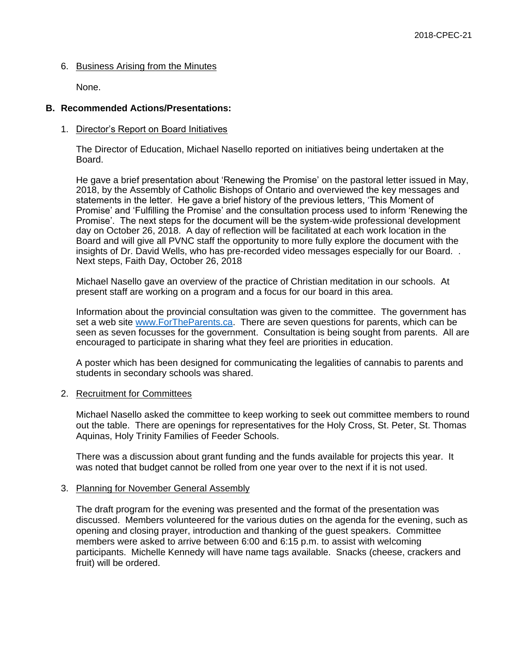# 6. Business Arising from the Minutes

None.

# **B. Recommended Actions/Presentations:**

# 1. Director's Report on Board Initiatives

The Director of Education, Michael Nasello reported on initiatives being undertaken at the Board.

He gave a brief presentation about 'Renewing the Promise' on the pastoral letter issued in May, 2018, by the Assembly of Catholic Bishops of Ontario and overviewed the key messages and statements in the letter. He gave a brief history of the previous letters, 'This Moment of Promise' and 'Fulfilling the Promise' and the consultation process used to inform 'Renewing the Promise'. The next steps for the document will be the system-wide professional development day on October 26, 2018. A day of reflection will be facilitated at each work location in the Board and will give all PVNC staff the opportunity to more fully explore the document with the insights of Dr. David Wells, who has pre-recorded video messages especially for our Board. . Next steps, Faith Day, October 26, 2018

Michael Nasello gave an overview of the practice of Christian meditation in our schools. At present staff are working on a program and a focus for our board in this area.

Information about the provincial consultation was given to the committee. The government has set a web site [www.ForTheParents.ca.](http://www.fortheparents.ca/) There are seven questions for parents, which can be seen as seven focusses for the government. Consultation is being sought from parents. All are encouraged to participate in sharing what they feel are priorities in education.

A poster which has been designed for communicating the legalities of cannabis to parents and students in secondary schools was shared.

# 2. Recruitment for Committees

Michael Nasello asked the committee to keep working to seek out committee members to round out the table. There are openings for representatives for the Holy Cross, St. Peter, St. Thomas Aquinas, Holy Trinity Families of Feeder Schools.

There was a discussion about grant funding and the funds available for projects this year. It was noted that budget cannot be rolled from one year over to the next if it is not used.

# 3. Planning for November General Assembly

The draft program for the evening was presented and the format of the presentation was discussed. Members volunteered for the various duties on the agenda for the evening, such as opening and closing prayer, introduction and thanking of the guest speakers. Committee members were asked to arrive between 6:00 and 6:15 p.m. to assist with welcoming participants. Michelle Kennedy will have name tags available. Snacks (cheese, crackers and fruit) will be ordered.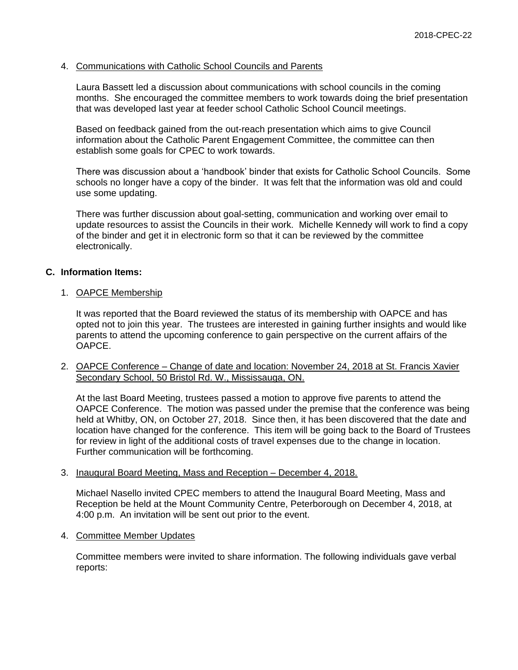### 4. Communications with Catholic School Councils and Parents

Laura Bassett led a discussion about communications with school councils in the coming months. She encouraged the committee members to work towards doing the brief presentation that was developed last year at feeder school Catholic School Council meetings.

Based on feedback gained from the out-reach presentation which aims to give Council information about the Catholic Parent Engagement Committee, the committee can then establish some goals for CPEC to work towards.

There was discussion about a 'handbook' binder that exists for Catholic School Councils. Some schools no longer have a copy of the binder. It was felt that the information was old and could use some updating.

There was further discussion about goal-setting, communication and working over email to update resources to assist the Councils in their work. Michelle Kennedy will work to find a copy of the binder and get it in electronic form so that it can be reviewed by the committee electronically.

# **C. Information Items:**

### 1. OAPCE Membership

It was reported that the Board reviewed the status of its membership with OAPCE and has opted not to join this year. The trustees are interested in gaining further insights and would like parents to attend the upcoming conference to gain perspective on the current affairs of the OAPCE.

2. OAPCE Conference – Change of date and location: November 24, 2018 at St. Francis Xavier Secondary School, 50 Bristol Rd. W., Mississauga, ON.

At the last Board Meeting, trustees passed a motion to approve five parents to attend the OAPCE Conference. The motion was passed under the premise that the conference was being held at Whitby, ON, on October 27, 2018. Since then, it has been discovered that the date and location have changed for the conference. This item will be going back to the Board of Trustees for review in light of the additional costs of travel expenses due to the change in location. Further communication will be forthcoming.

### 3. Inaugural Board Meeting, Mass and Reception – December 4, 2018.

Michael Nasello invited CPEC members to attend the Inaugural Board Meeting, Mass and Reception be held at the Mount Community Centre, Peterborough on December 4, 2018, at 4:00 p.m. An invitation will be sent out prior to the event.

4. Committee Member Updates

Committee members were invited to share information. The following individuals gave verbal reports: